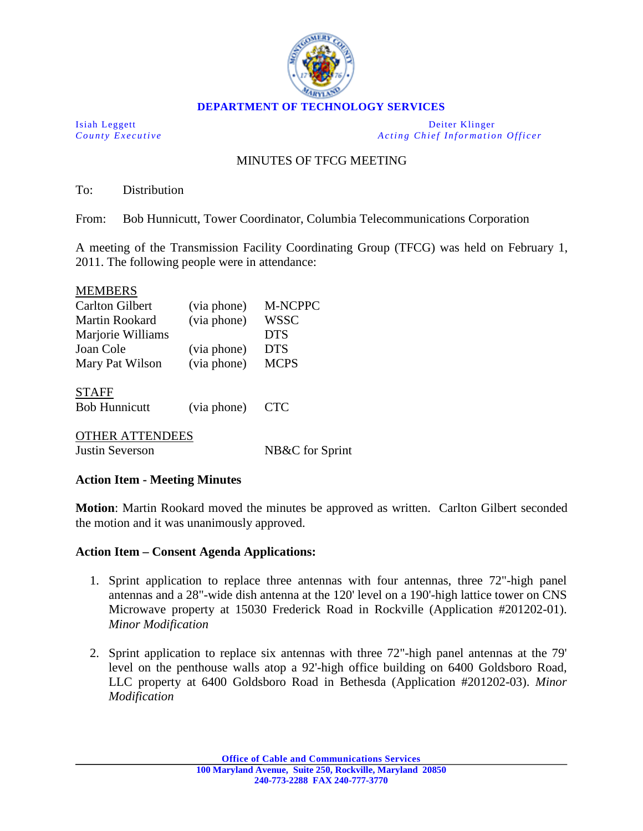

Isiah Leggett Deiter Klinger *County Executive Acting Chief Information Officer*

# MINUTES OF TFCG MEETING

To: Distribution

From: Bob Hunnicutt, Tower Coordinator, Columbia Telecommunications Corporation

A meeting of the Transmission Facility Coordinating Group (TFCG) was held on February 1, 2011. The following people were in attendance:

#### MEMBERS

| <b>Carlton Gilbert</b> | (via phone) | <b>M-NCPPC</b> |
|------------------------|-------------|----------------|
| <b>Martin Rookard</b>  | (via phone) | <b>WSSC</b>    |
| Marjorie Williams      |             | <b>DTS</b>     |
| Joan Cole              | (via phone) | <b>DTS</b>     |
| Mary Pat Wilson        | (via phone) | <b>MCPS</b>    |
| <b>STAFF</b>           |             |                |
| <b>Bob Hunnicutt</b>   | (via phone) | <b>CTC</b>     |
|                        |             |                |

### OTHER ATTENDEES

Justin Severson NB&C for Sprint

### **Action Item - Meeting Minutes**

**Motion**: Martin Rookard moved the minutes be approved as written. Carlton Gilbert seconded the motion and it was unanimously approved.

### **Action Item – Consent Agenda Applications:**

- 1. Sprint application to replace three antennas with four antennas, three 72"-high panel antennas and a 28"-wide dish antenna at the 120' level on a 190'-high lattice tower on CNS Microwave property at 15030 Frederick Road in Rockville (Application #201202-01). *Minor Modification*
- 2. Sprint application to replace six antennas with three 72"-high panel antennas at the 79' level on the penthouse walls atop a 92'-high office building on 6400 Goldsboro Road, LLC property at 6400 Goldsboro Road in Bethesda (Application #201202-03). *Minor Modification*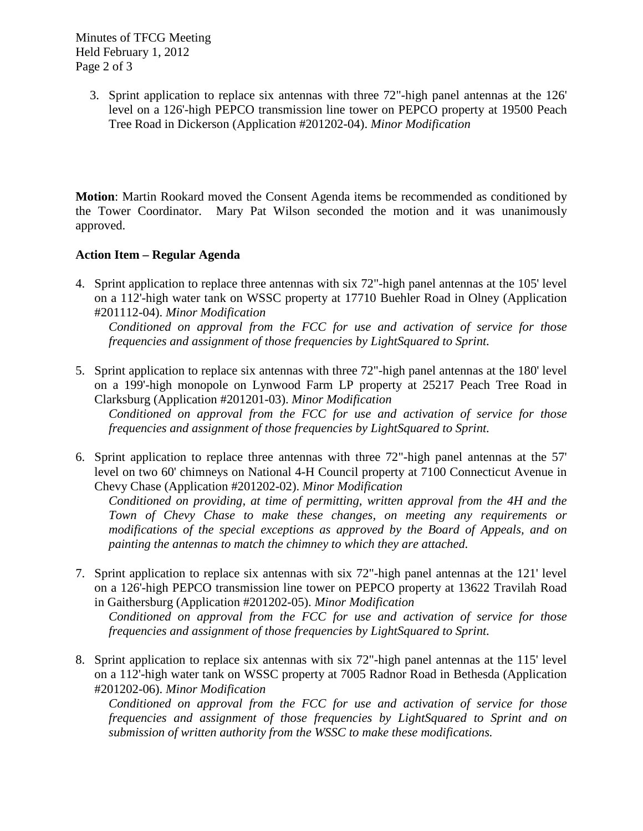Minutes of TFCG Meeting Held February 1, 2012 Page 2 of 3

> 3. Sprint application to replace six antennas with three 72"-high panel antennas at the 126' level on a 126'-high PEPCO transmission line tower on PEPCO property at 19500 Peach Tree Road in Dickerson (Application #201202-04). *Minor Modification*

**Motion**: Martin Rookard moved the Consent Agenda items be recommended as conditioned by the Tower Coordinator. Mary Pat Wilson seconded the motion and it was unanimously approved.

## **Action Item – Regular Agenda**

4. Sprint application to replace three antennas with six 72"-high panel antennas at the 105' level on a 112'-high water tank on WSSC property at 17710 Buehler Road in Olney (Application #201112-04). *Minor Modification*

*Conditioned on approval from the FCC for use and activation of service for those frequencies and assignment of those frequencies by LightSquared to Sprint.* 

5. Sprint application to replace six antennas with three 72"-high panel antennas at the 180' level on a 199'-high monopole on Lynwood Farm LP property at 25217 Peach Tree Road in Clarksburg (Application #201201-03). *Minor Modification*

*Conditioned on approval from the FCC for use and activation of service for those frequencies and assignment of those frequencies by LightSquared to Sprint.* 

6. Sprint application to replace three antennas with three 72"-high panel antennas at the 57' level on two 60' chimneys on National 4-H Council property at 7100 Connecticut Avenue in Chevy Chase (Application #201202-02). *Minor Modification*

*Conditioned on providing, at time of permitting, written approval from the 4H and the Town of Chevy Chase to make these changes, on meeting any requirements or modifications of the special exceptions as approved by the Board of Appeals, and on painting the antennas to match the chimney to which they are attached.*

7. Sprint application to replace six antennas with six 72"-high panel antennas at the 121' level on a 126'-high PEPCO transmission line tower on PEPCO property at 13622 Travilah Road in Gaithersburg (Application #201202-05). *Minor Modification*

*Conditioned on approval from the FCC for use and activation of service for those frequencies and assignment of those frequencies by LightSquared to Sprint.*

8. Sprint application to replace six antennas with six 72"-high panel antennas at the 115' level on a 112'-high water tank on WSSC property at 7005 Radnor Road in Bethesda (Application #201202-06). *Minor Modification*

*Conditioned on approval from the FCC for use and activation of service for those frequencies and assignment of those frequencies by LightSquared to Sprint and on submission of written authority from the WSSC to make these modifications.*